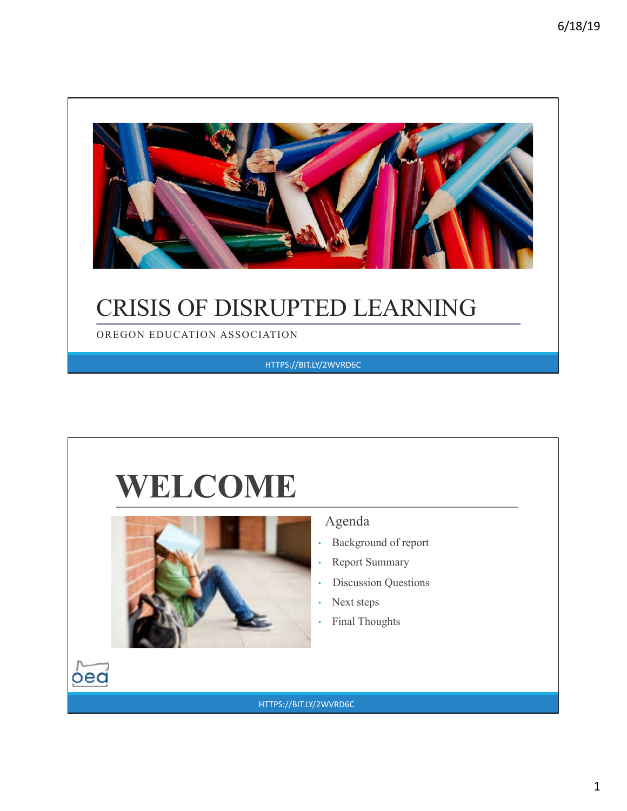

### CRISIS OF DISRUPTED LEARNING

OREGON EDUCATION ASSOCIATION

HTTPS://BIT.LY/2WVRD6C

# **WELCOME**



 $\log$ 

#### Agenda

- Background of report
- Report Summary
- Discussion Questions
- Next steps
- Final Thoughts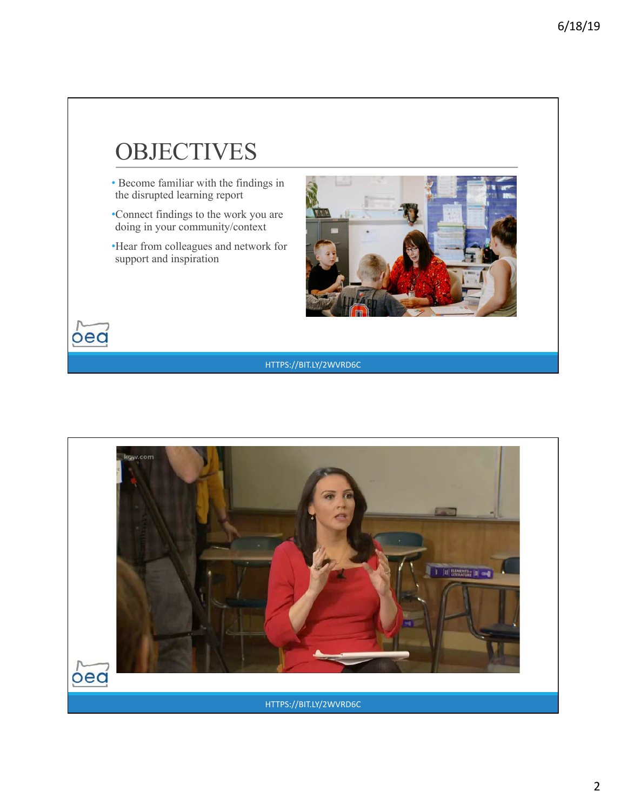### **OBJECTIVES**

- Become familiar with the findings in the disrupted learning report
- •Connect findings to the work you are doing in your community/context
- •Hear from colleagues and network for support and inspiration

 $\overline{\text{o}}$ ed



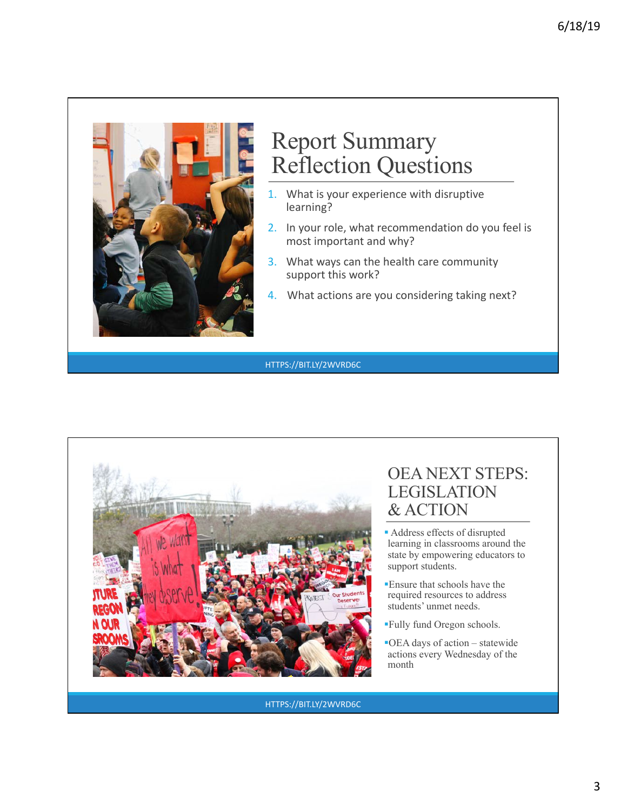

#### Report Summary Reflection Questions

- 1. What is your experience with disruptive learning?
- 2. In your role, what recommendation do you feel is most important and why?
- 3. What ways can the health care community support this work?
- 4. What actions are you considering taking next?

HTTPS://BIT.LY/2WVRD6C



#### OEA NEXT STEPS: LEGISLATION & ACTION

- § Address effects of disrupted learning in classrooms around the state by empowering educators to support students.
- §Ensure that schools have the required resources to address students' unmet needs.
- §Fully fund Oregon schools.
- ■OEA days of action statewide actions every Wednesday of the month